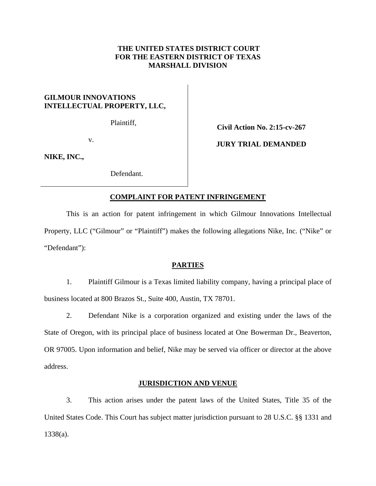## **THE UNITED STATES DISTRICT COURT FOR THE EASTERN DISTRICT OF TEXAS MARSHALL DIVISION**

# **GILMOUR INNOVATIONS INTELLECTUAL PROPERTY, LLC,**

Plaintiff,

v.

**NIKE, INC.,** 

Defendant.

**Civil Action No. 2:15-cv-267** 

**JURY TRIAL DEMANDED** 

### **COMPLAINT FOR PATENT INFRINGEMENT**

This is an action for patent infringement in which Gilmour Innovations Intellectual Property, LLC ("Gilmour" or "Plaintiff") makes the following allegations Nike, Inc. ("Nike" or "Defendant"):

# **PARTIES**

1. Plaintiff Gilmour is a Texas limited liability company, having a principal place of business located at 800 Brazos St., Suite 400, Austin, TX 78701.

2. Defendant Nike is a corporation organized and existing under the laws of the State of Oregon, with its principal place of business located at One Bowerman Dr., Beaverton, OR 97005. Upon information and belief, Nike may be served via officer or director at the above address.

### **JURISDICTION AND VENUE**

3. This action arises under the patent laws of the United States, Title 35 of the United States Code. This Court has subject matter jurisdiction pursuant to 28 U.S.C. §§ 1331 and 1338(a).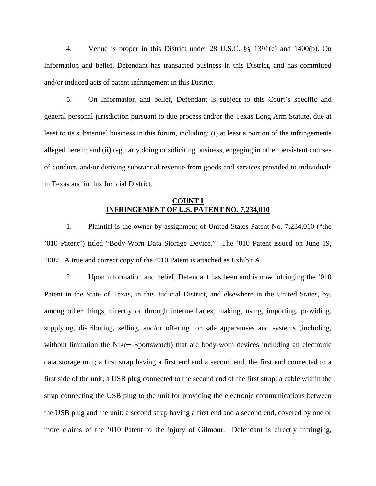4. Venue is proper in this District under 28 U.S.C. §§ 1391(c) and 1400(b). On information and belief, Defendant has transacted business in this District, and has committed and/or induced acts of patent infringement in this District.

5. On information and belief, Defendant is subject to this Court's specific and general personal jurisdiction pursuant to due process and/or the Texas Long Arm Statute, due at least to its substantial business in this forum, including: (i) at least a portion of the infringements alleged herein; and (ii) regularly doing or soliciting business, engaging in other persistent courses of conduct, and/or deriving substantial revenue from goods and services provided to individuals in Texas and in this Judicial District.

#### **COUNT I INFRINGEMENT OF U.S. PATENT NO. 7,234,010**

1. Plaintiff is the owner by assignment of United States Patent No. 7,234,010 ("the '010 Patent") titled "Body-Worn Data Storage Device." The '010 Patent issued on June 19, 2007. A true and correct copy of the '010 Patent is attached as Exhibit A.

2. Upon information and belief, Defendant has been and is now infringing the '010 Patent in the State of Texas, in this Judicial District, and elsewhere in the United States, by, among other things, directly or through intermediaries, making, using, importing, providing, supplying, distributing, selling, and/or offering for sale apparatuses and systems (including, without limitation the Nike+ Sportswatch) that are body-worn devices including an electronic data storage unit; a first strap having a first end and a second end, the first end connected to a first side of the unit; a USB plug connected to the second end of the first strap; a cable within the strap connecting the USB plug to the unit for providing the electronic communications between the USB plug and the unit; a second strap having a first end and a second end, covered by one or more claims of the '010 Patent to the injury of Gilmour. Defendant is directly infringing,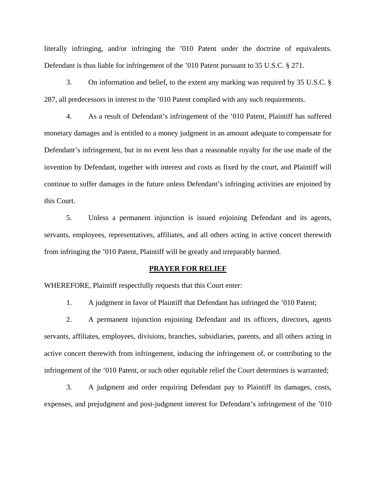literally infringing, and/or infringing the '010 Patent under the doctrine of equivalents. Defendant is thus liable for infringement of the '010 Patent pursuant to 35 U.S.C. § 271.

3. On information and belief, to the extent any marking was required by 35 U.S.C. § 287, all predecessors in interest to the '010 Patent complied with any such requirements.

4. As a result of Defendant's infringement of the '010 Patent, Plaintiff has suffered monetary damages and is entitled to a money judgment in an amount adequate to compensate for Defendant's infringement, but in no event less than a reasonable royalty for the use made of the invention by Defendant, together with interest and costs as fixed by the court, and Plaintiff will continue to suffer damages in the future unless Defendant's infringing activities are enjoined by this Court.

5. Unless a permanent injunction is issued enjoining Defendant and its agents, servants, employees, representatives, affiliates, and all others acting in active concert therewith from infringing the '010 Patent, Plaintiff will be greatly and irreparably harmed.

#### **PRAYER FOR RELIEF**

WHEREFORE, Plaintiff respectfully requests that this Court enter:

1. A judgment in favor of Plaintiff that Defendant has infringed the '010 Patent;

2. A permanent injunction enjoining Defendant and its officers, directors, agents servants, affiliates, employees, divisions, branches, subsidiaries, parents, and all others acting in active concert therewith from infringement, inducing the infringement of, or contributing to the infringement of the '010 Patent, or such other equitable relief the Court determines is warranted;

3. A judgment and order requiring Defendant pay to Plaintiff its damages, costs, expenses, and prejudgment and post-judgment interest for Defendant's infringement of the '010